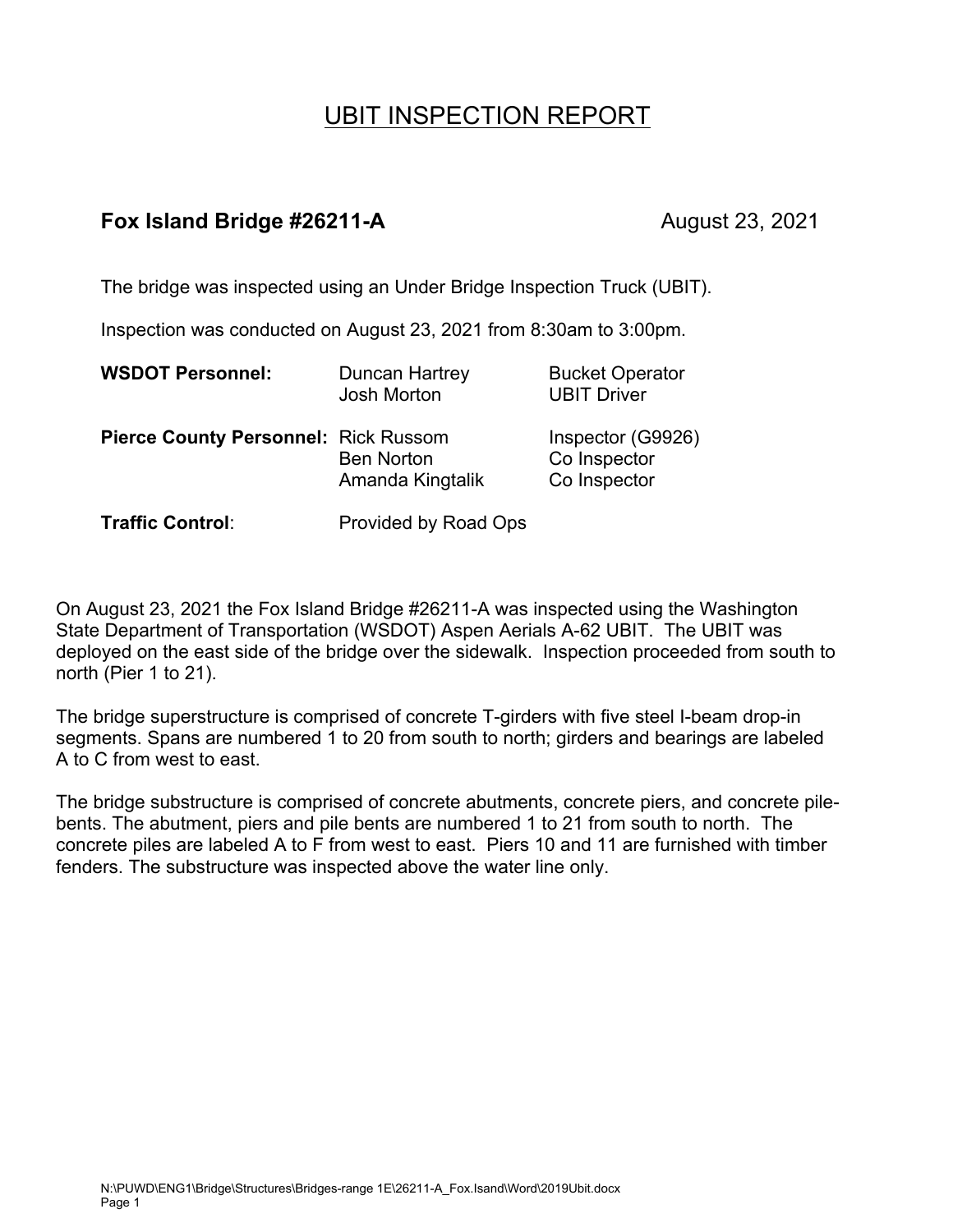# UBIT INSPECTION REPORT

# **Fox Island Bridge #26211-A** August 23, 2021

The bridge was inspected using an Under Bridge Inspection Truck (UBIT).

Inspection was conducted on August 23, 2021 from 8:30am to 3:00pm.

| <b>WSDOT Personnel:</b>                     | Duncan Hartrey<br><b>Josh Morton</b>  | <b>Bucket Operator</b><br><b>UBIT Driver</b>      |
|---------------------------------------------|---------------------------------------|---------------------------------------------------|
| <b>Pierce County Personnel: Rick Russom</b> | <b>Ben Norton</b><br>Amanda Kingtalik | Inspector (G9926)<br>Co Inspector<br>Co Inspector |
| Traffic Control:                            | Provided by Road Ops                  |                                                   |

On August 23, 2021 the Fox Island Bridge #26211-A was inspected using the Washington State Department of Transportation (WSDOT) Aspen Aerials A-62 UBIT. The UBIT was deployed on the east side of the bridge over the sidewalk. Inspection proceeded from south to north (Pier 1 to 21).

The bridge superstructure is comprised of concrete T-girders with five steel I-beam drop-in segments. Spans are numbered 1 to 20 from south to north; girders and bearings are labeled A to C from west to east.

The bridge substructure is comprised of concrete abutments, concrete piers, and concrete pilebents. The abutment, piers and pile bents are numbered 1 to 21 from south to north. The concrete piles are labeled A to F from west to east. Piers 10 and 11 are furnished with timber fenders. The substructure was inspected above the water line only.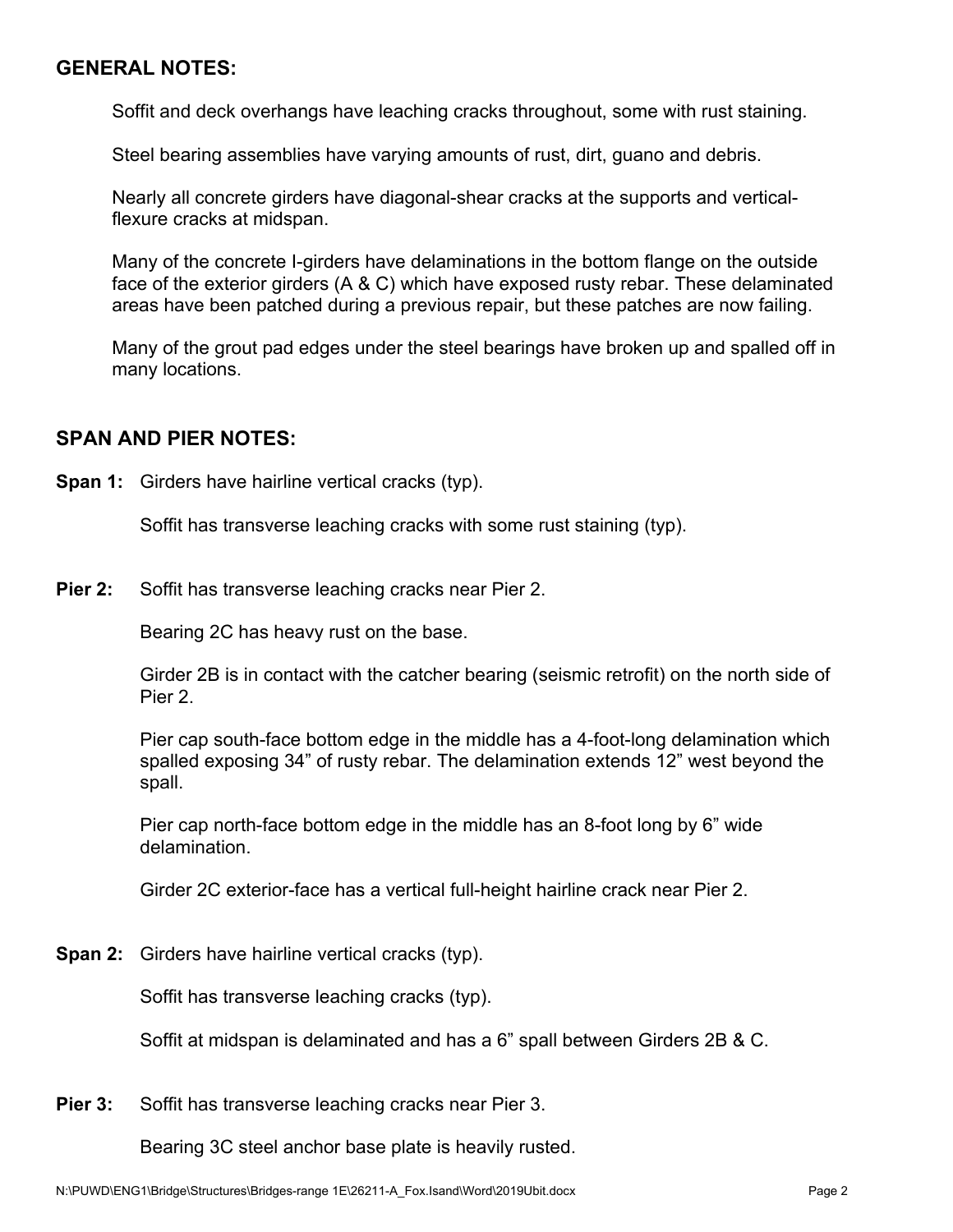## **GENERAL NOTES:**

Soffit and deck overhangs have leaching cracks throughout, some with rust staining.

Steel bearing assemblies have varying amounts of rust, dirt, guano and debris.

Nearly all concrete girders have diagonal-shear cracks at the supports and verticalflexure cracks at midspan.

Many of the concrete I-girders have delaminations in the bottom flange on the outside face of the exterior girders (A & C) which have exposed rusty rebar. These delaminated areas have been patched during a previous repair, but these patches are now failing.

Many of the grout pad edges under the steel bearings have broken up and spalled off in many locations.

## **SPAN AND PIER NOTES:**

**Span 1:** Girders have hairline vertical cracks (typ).

Soffit has transverse leaching cracks with some rust staining (typ).

**Pier 2:** Soffit has transverse leaching cracks near Pier 2.

Bearing 2C has heavy rust on the base.

Girder 2B is in contact with the catcher bearing (seismic retrofit) on the north side of Pier 2.

Pier cap south-face bottom edge in the middle has a 4-foot-long delamination which spalled exposing 34" of rusty rebar. The delamination extends 12" west beyond the spall.

Pier cap north-face bottom edge in the middle has an 8-foot long by 6" wide delamination.

Girder 2C exterior-face has a vertical full-height hairline crack near Pier 2.

**Span 2:** Girders have hairline vertical cracks (typ).

Soffit has transverse leaching cracks (typ).

Soffit at midspan is delaminated and has a 6" spall between Girders 2B & C.

**Pier 3:** Soffit has transverse leaching cracks near Pier 3.

Bearing 3C steel anchor base plate is heavily rusted.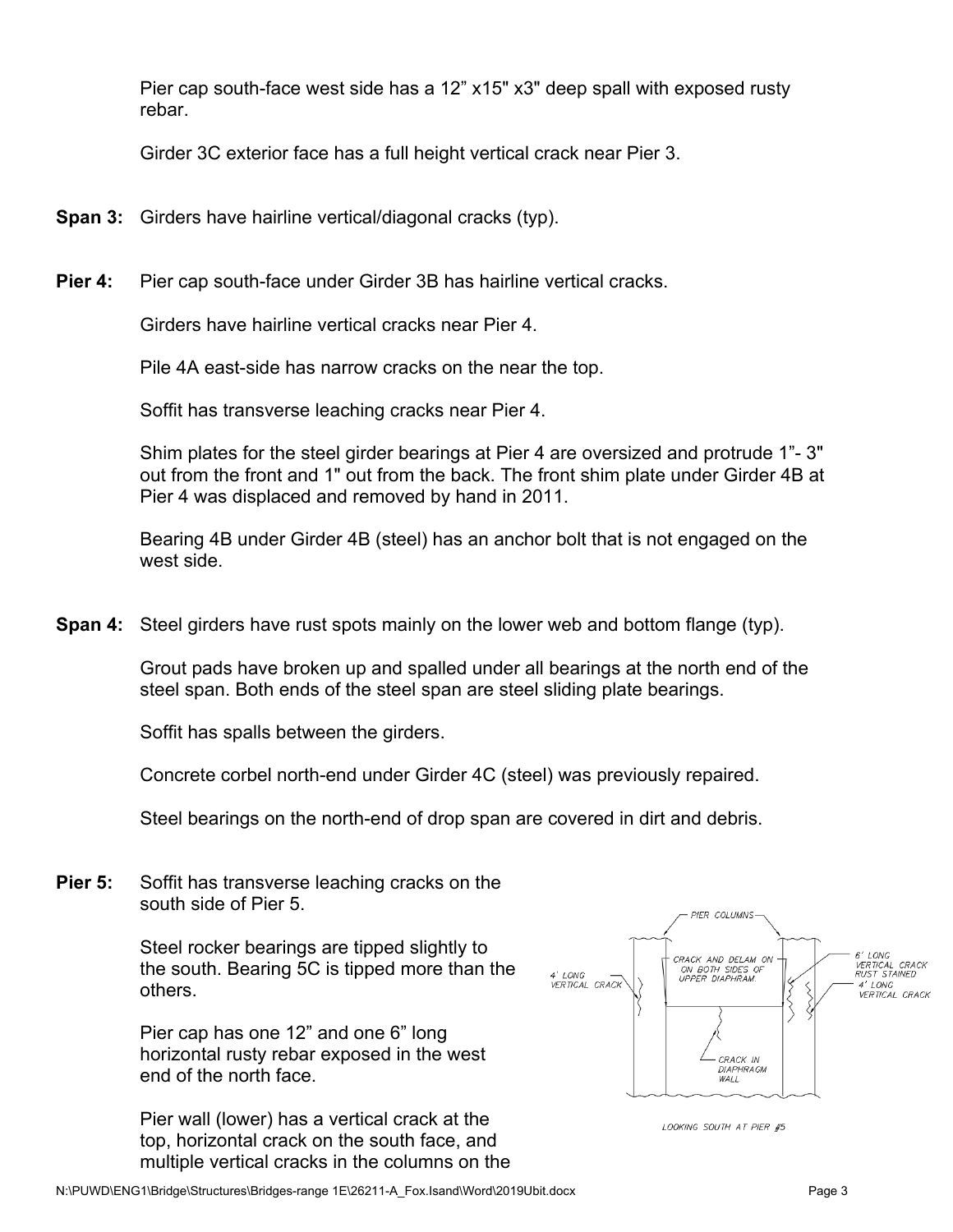Pier cap south-face west side has a 12" x15" x3" deep spall with exposed rusty rebar.

Girder 3C exterior face has a full height vertical crack near Pier 3.

- **Span 3:** Girders have hairline vertical/diagonal cracks (typ).
- **Pier 4:** Pier cap south-face under Girder 3B has hairline vertical cracks.

Girders have hairline vertical cracks near Pier 4.

Pile 4A east-side has narrow cracks on the near the top.

Soffit has transverse leaching cracks near Pier 4.

Shim plates for the steel girder bearings at Pier 4 are oversized and protrude 1"- 3" out from the front and 1" out from the back. The front shim plate under Girder 4B at Pier 4 was displaced and removed by hand in 2011.

Bearing 4B under Girder 4B (steel) has an anchor bolt that is not engaged on the west side.

**Span 4:** Steel girders have rust spots mainly on the lower web and bottom flange (typ).

Grout pads have broken up and spalled under all bearings at the north end of the steel span. Both ends of the steel span are steel sliding plate bearings.

Soffit has spalls between the girders.

Concrete corbel north-end under Girder 4C (steel) was previously repaired.

Steel bearings on the north-end of drop span are covered in dirt and debris.

**Pier 5:** Soffit has transverse leaching cracks on the south side of Pier 5.

> Steel rocker bearings are tipped slightly to the south. Bearing 5C is tipped more than the others.

Pier cap has one 12" and one 6" long horizontal rusty rebar exposed in the west end of the north face.

Pier wall (lower) has a vertical crack at the top, horizontal crack on the south face, and multiple vertical cracks in the columns on the



LOOKING SOUTH AT PIER #5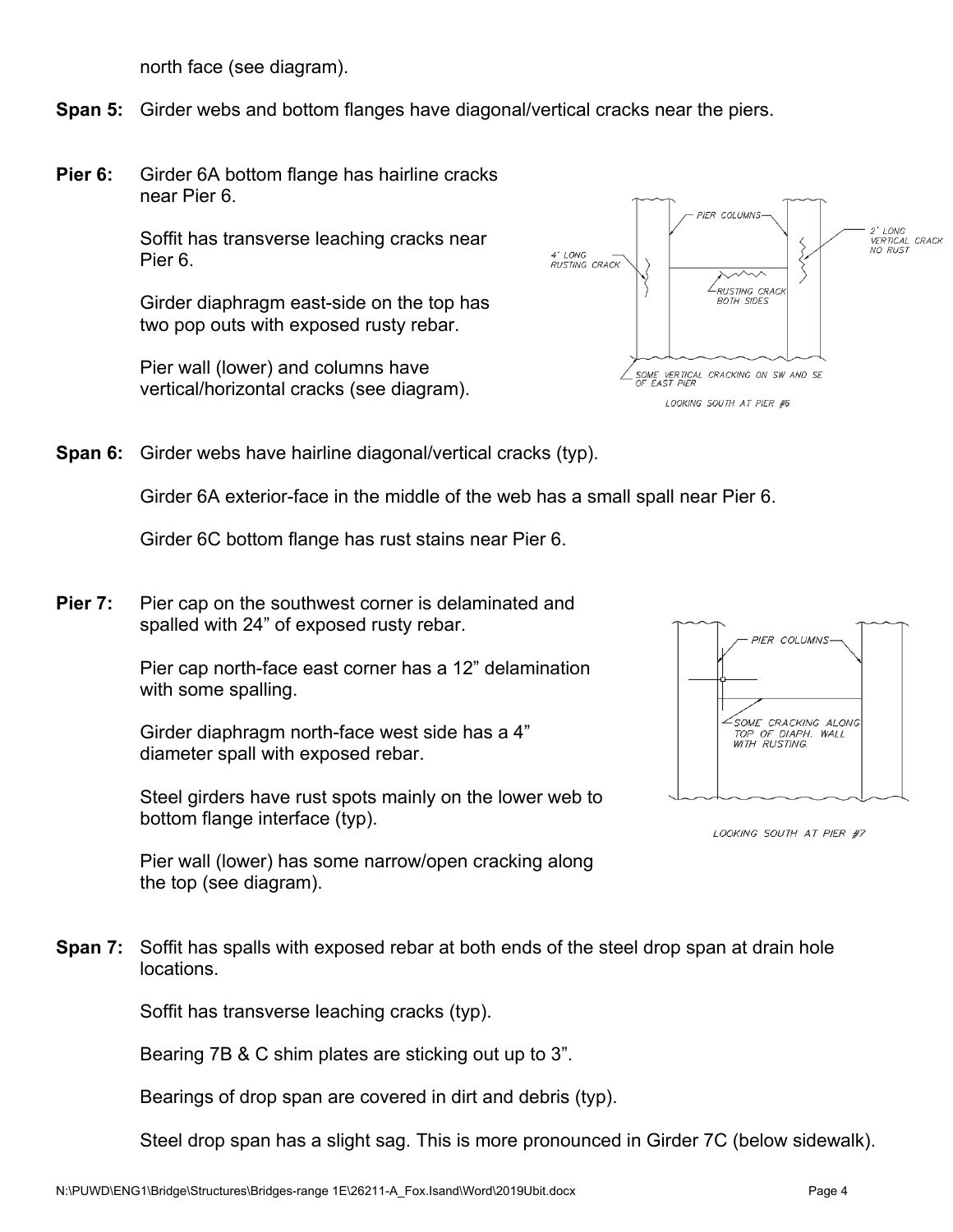north face (see diagram).

**Span 5:** Girder webs and bottom flanges have diagonal/vertical cracks near the piers.

**Pier 6:** Girder 6A bottom flange has hairline cracks near Pier 6.

> Soffit has transverse leaching cracks near Pier 6.

> Girder diaphragm east-side on the top has two pop outs with exposed rusty rebar.

Pier wall (lower) and columns have vertical/horizontal cracks (see diagram).



**Span 6:** Girder webs have hairline diagonal/vertical cracks (typ).

Girder 6A exterior-face in the middle of the web has a small spall near Pier 6.

Girder 6C bottom flange has rust stains near Pier 6.

**Pier 7:** Pier cap on the southwest corner is delaminated and spalled with 24" of exposed rusty rebar.

> Pier cap north-face east corner has a 12" delamination with some spalling.

Girder diaphragm north-face west side has a 4" diameter spall with exposed rebar.

Steel girders have rust spots mainly on the lower web to bottom flange interface (typ).



LOOKING SOUTH AT PIER #7

Pier wall (lower) has some narrow/open cracking along the top (see diagram).

**Span 7:** Soffit has spalls with exposed rebar at both ends of the steel drop span at drain hole locations.

Soffit has transverse leaching cracks (typ).

Bearing 7B & C shim plates are sticking out up to 3".

Bearings of drop span are covered in dirt and debris (typ).

Steel drop span has a slight sag. This is more pronounced in Girder 7C (below sidewalk).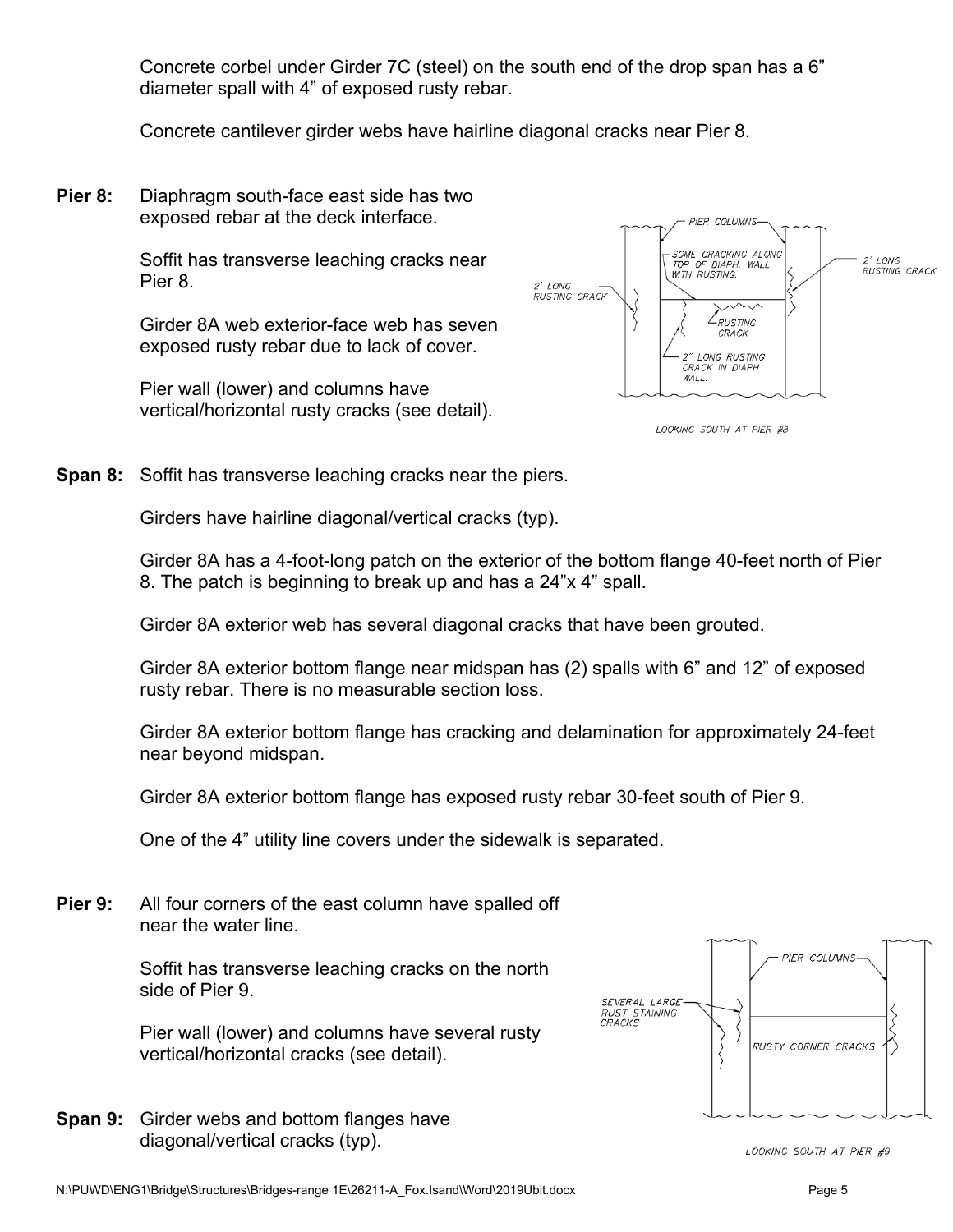Concrete corbel under Girder 7C (steel) on the south end of the drop span has a 6" diameter spall with 4" of exposed rusty rebar.

Concrete cantilever girder webs have hairline diagonal cracks near Pier 8.

**Pier 8:** Diaphragm south-face east side has two exposed rebar at the deck interface.

> Soffit has transverse leaching cracks near Pier 8.

Girder 8A web exterior-face web has seven exposed rusty rebar due to lack of cover.

Pier wall (lower) and columns have vertical/horizontal rusty cracks (see detail).



LOOKING SOUTH AT PIER #8

**Span 8:** Soffit has transverse leaching cracks near the piers.

Girders have hairline diagonal/vertical cracks (typ).

Girder 8A has a 4-foot-long patch on the exterior of the bottom flange 40-feet north of Pier 8. The patch is beginning to break up and has a 24"x 4" spall.

Girder 8A exterior web has several diagonal cracks that have been grouted.

Girder 8A exterior bottom flange near midspan has (2) spalls with 6" and 12" of exposed rusty rebar. There is no measurable section loss.

Girder 8A exterior bottom flange has cracking and delamination for approximately 24-feet near beyond midspan.

Girder 8A exterior bottom flange has exposed rusty rebar 30-feet south of Pier 9.

One of the 4" utility line covers under the sidewalk is separated.

**Pier 9:** All four corners of the east column have spalled off near the water line.

> Soffit has transverse leaching cracks on the north side of Pier 9.

Pier wall (lower) and columns have several rusty vertical/horizontal cracks (see detail).

**Span 9:** Girder webs and bottom flanges have diagonal/vertical cracks (typ).



LOOKING SOUTH AT PIER #9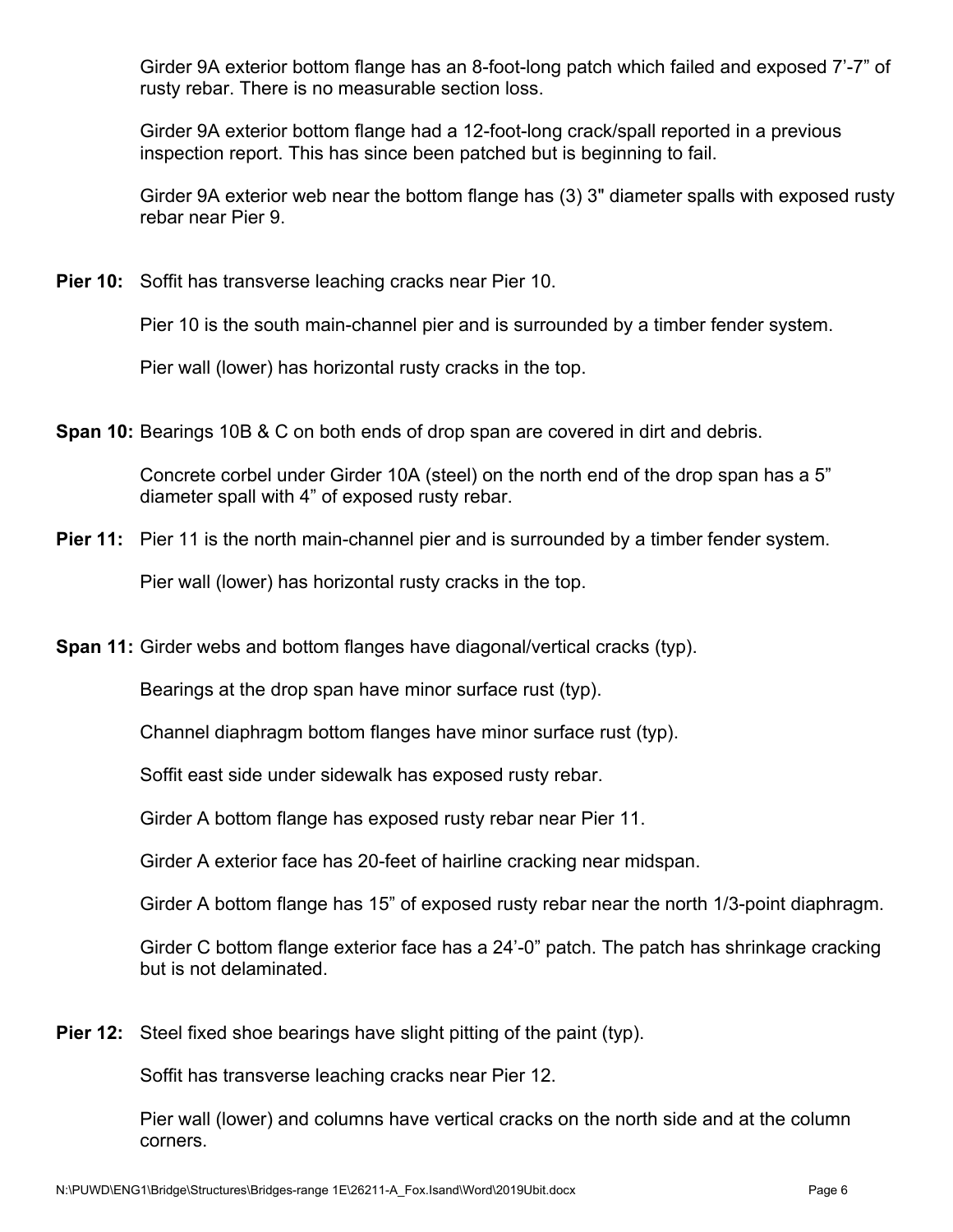Girder 9A exterior bottom flange has an 8-foot-long patch which failed and exposed 7'-7" of rusty rebar. There is no measurable section loss.

Girder 9A exterior bottom flange had a 12-foot-long crack/spall reported in a previous inspection report. This has since been patched but is beginning to fail.

Girder 9A exterior web near the bottom flange has (3) 3" diameter spalls with exposed rusty rebar near Pier 9.

**Pier 10:** Soffit has transverse leaching cracks near Pier 10.

Pier 10 is the south main-channel pier and is surrounded by a timber fender system.

Pier wall (lower) has horizontal rusty cracks in the top.

**Span 10:** Bearings 10B & C on both ends of drop span are covered in dirt and debris.

Concrete corbel under Girder 10A (steel) on the north end of the drop span has a 5" diameter spall with 4" of exposed rusty rebar.

**Pier 11:** Pier 11 is the north main-channel pier and is surrounded by a timber fender system.

Pier wall (lower) has horizontal rusty cracks in the top.

**Span 11:** Girder webs and bottom flanges have diagonal/vertical cracks (typ).

Bearings at the drop span have minor surface rust (typ).

Channel diaphragm bottom flanges have minor surface rust (typ).

Soffit east side under sidewalk has exposed rusty rebar.

Girder A bottom flange has exposed rusty rebar near Pier 11.

Girder A exterior face has 20-feet of hairline cracking near midspan.

Girder A bottom flange has 15" of exposed rusty rebar near the north 1/3-point diaphragm.

Girder C bottom flange exterior face has a 24'-0" patch. The patch has shrinkage cracking but is not delaminated.

**Pier 12:** Steel fixed shoe bearings have slight pitting of the paint (typ).

Soffit has transverse leaching cracks near Pier 12.

Pier wall (lower) and columns have vertical cracks on the north side and at the column corners.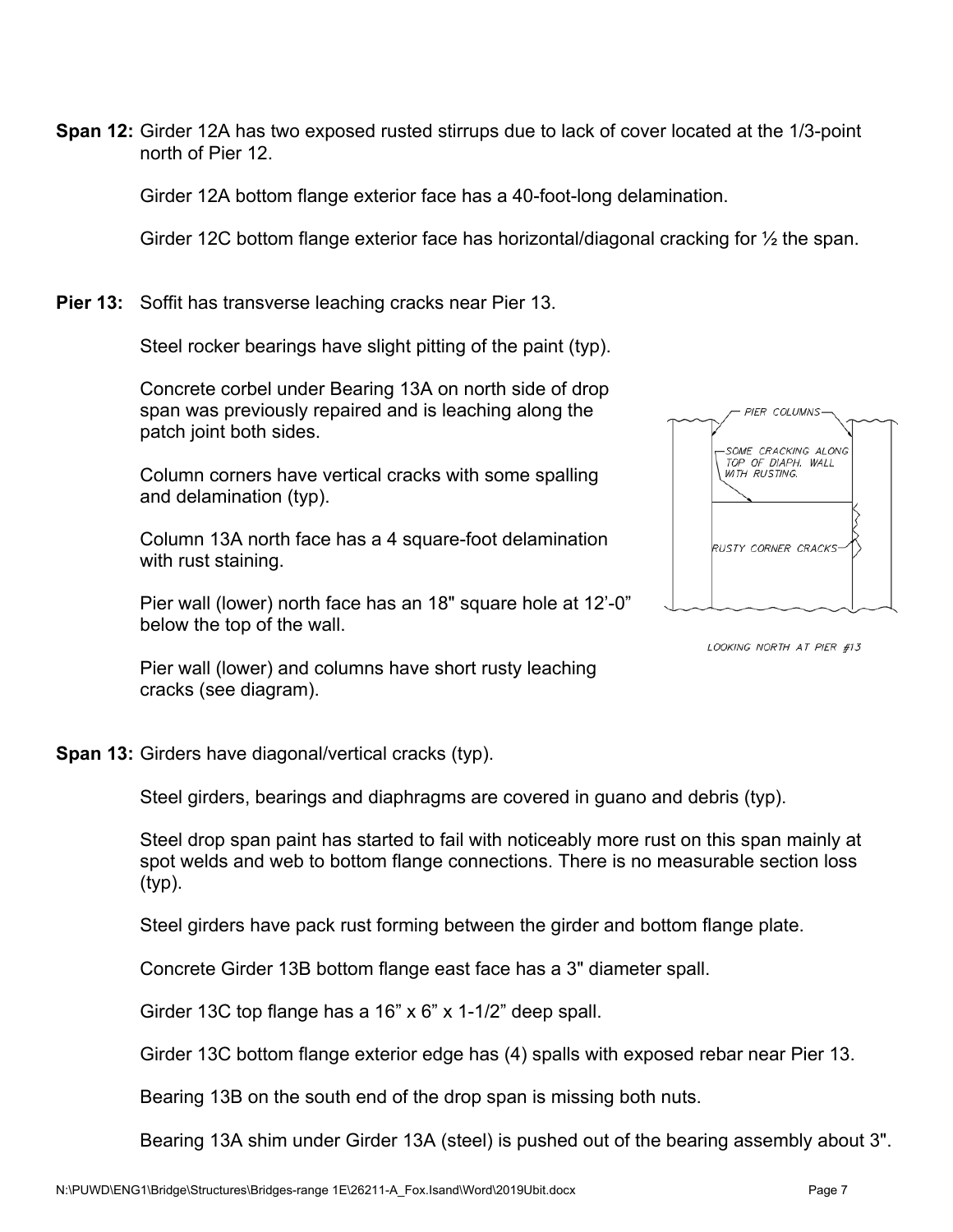**Span 12:** Girder 12A has two exposed rusted stirrups due to lack of cover located at the 1/3-point north of Pier 12.

Girder 12A bottom flange exterior face has a 40-foot-long delamination.

Girder 12C bottom flange exterior face has horizontal/diagonal cracking for ½ the span.

**Pier 13:** Soffit has transverse leaching cracks near Pier 13.

Steel rocker bearings have slight pitting of the paint (typ).

Concrete corbel under Bearing 13A on north side of drop span was previously repaired and is leaching along the patch joint both sides.

Column corners have vertical cracks with some spalling and delamination (typ).

Column 13A north face has a 4 square-foot delamination with rust staining.

Pier wall (lower) north face has an 18" square hole at 12'-0" below the top of the wall.



LOOKING NORTH AT PIER #13

Pier wall (lower) and columns have short rusty leaching cracks (see diagram).

**Span 13:** Girders have diagonal/vertical cracks (typ).

Steel girders, bearings and diaphragms are covered in guano and debris (typ).

Steel drop span paint has started to fail with noticeably more rust on this span mainly at spot welds and web to bottom flange connections. There is no measurable section loss (typ).

Steel girders have pack rust forming between the girder and bottom flange plate.

Concrete Girder 13B bottom flange east face has a 3" diameter spall.

Girder 13C top flange has a 16" x 6" x 1-1/2" deep spall.

Girder 13C bottom flange exterior edge has (4) spalls with exposed rebar near Pier 13.

Bearing 13B on the south end of the drop span is missing both nuts.

Bearing 13A shim under Girder 13A (steel) is pushed out of the bearing assembly about 3".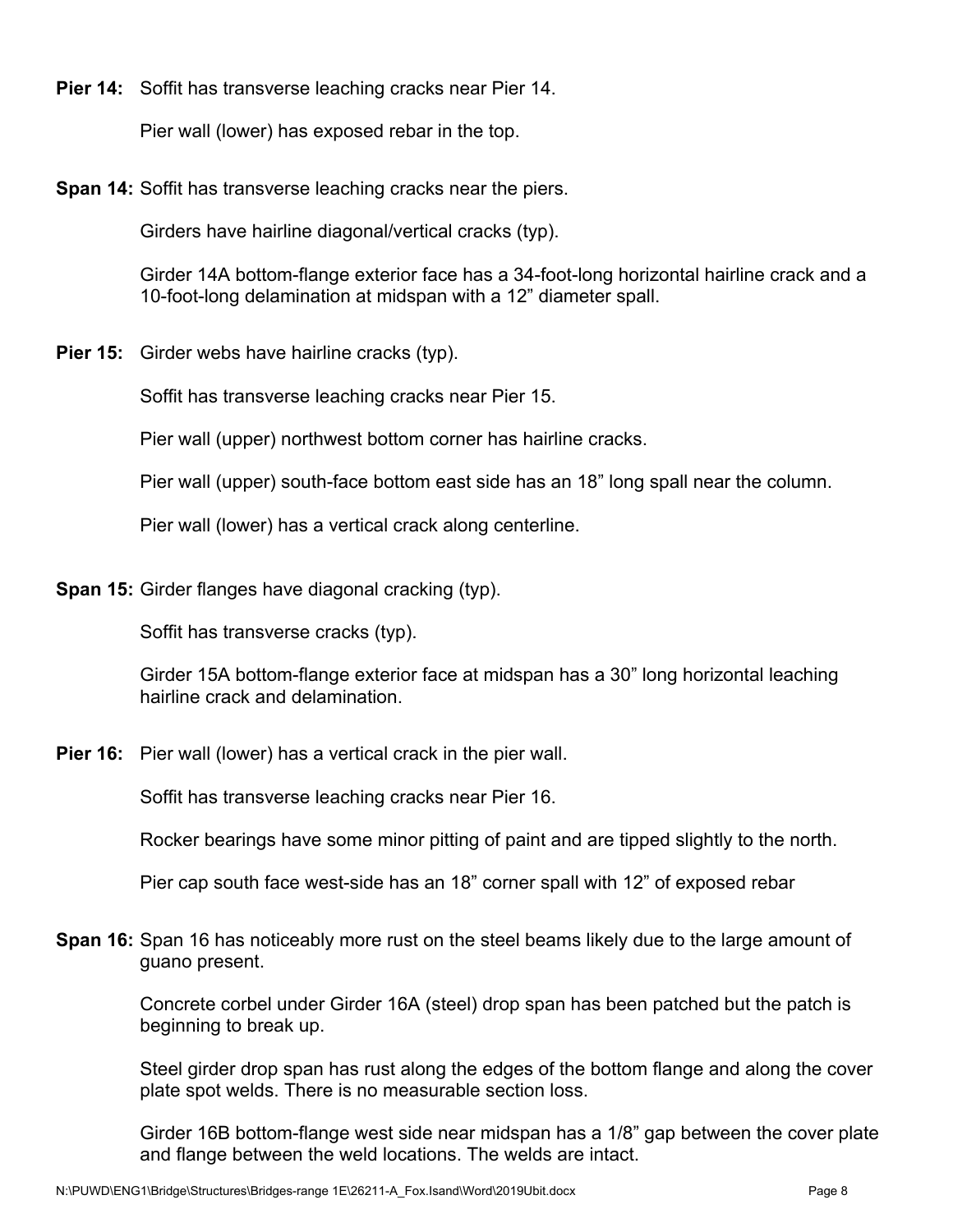**Pier 14:** Soffit has transverse leaching cracks near Pier 14.

Pier wall (lower) has exposed rebar in the top.

**Span 14:** Soffit has transverse leaching cracks near the piers.

Girders have hairline diagonal/vertical cracks (typ).

Girder 14A bottom-flange exterior face has a 34-foot-long horizontal hairline crack and a 10-foot-long delamination at midspan with a 12" diameter spall.

**Pier 15:** Girder webs have hairline cracks (typ).

Soffit has transverse leaching cracks near Pier 15.

Pier wall (upper) northwest bottom corner has hairline cracks.

Pier wall (upper) south-face bottom east side has an 18" long spall near the column.

Pier wall (lower) has a vertical crack along centerline.

**Span 15:** Girder flanges have diagonal cracking (typ).

Soffit has transverse cracks (typ).

Girder 15A bottom-flange exterior face at midspan has a 30" long horizontal leaching hairline crack and delamination.

**Pier 16:** Pier wall (lower) has a vertical crack in the pier wall.

Soffit has transverse leaching cracks near Pier 16.

Rocker bearings have some minor pitting of paint and are tipped slightly to the north.

Pier cap south face west-side has an 18" corner spall with 12" of exposed rebar

**Span 16:** Span 16 has noticeably more rust on the steel beams likely due to the large amount of guano present.

> Concrete corbel under Girder 16A (steel) drop span has been patched but the patch is beginning to break up.

Steel girder drop span has rust along the edges of the bottom flange and along the cover plate spot welds. There is no measurable section loss.

Girder 16B bottom-flange west side near midspan has a 1/8" gap between the cover plate and flange between the weld locations. The welds are intact.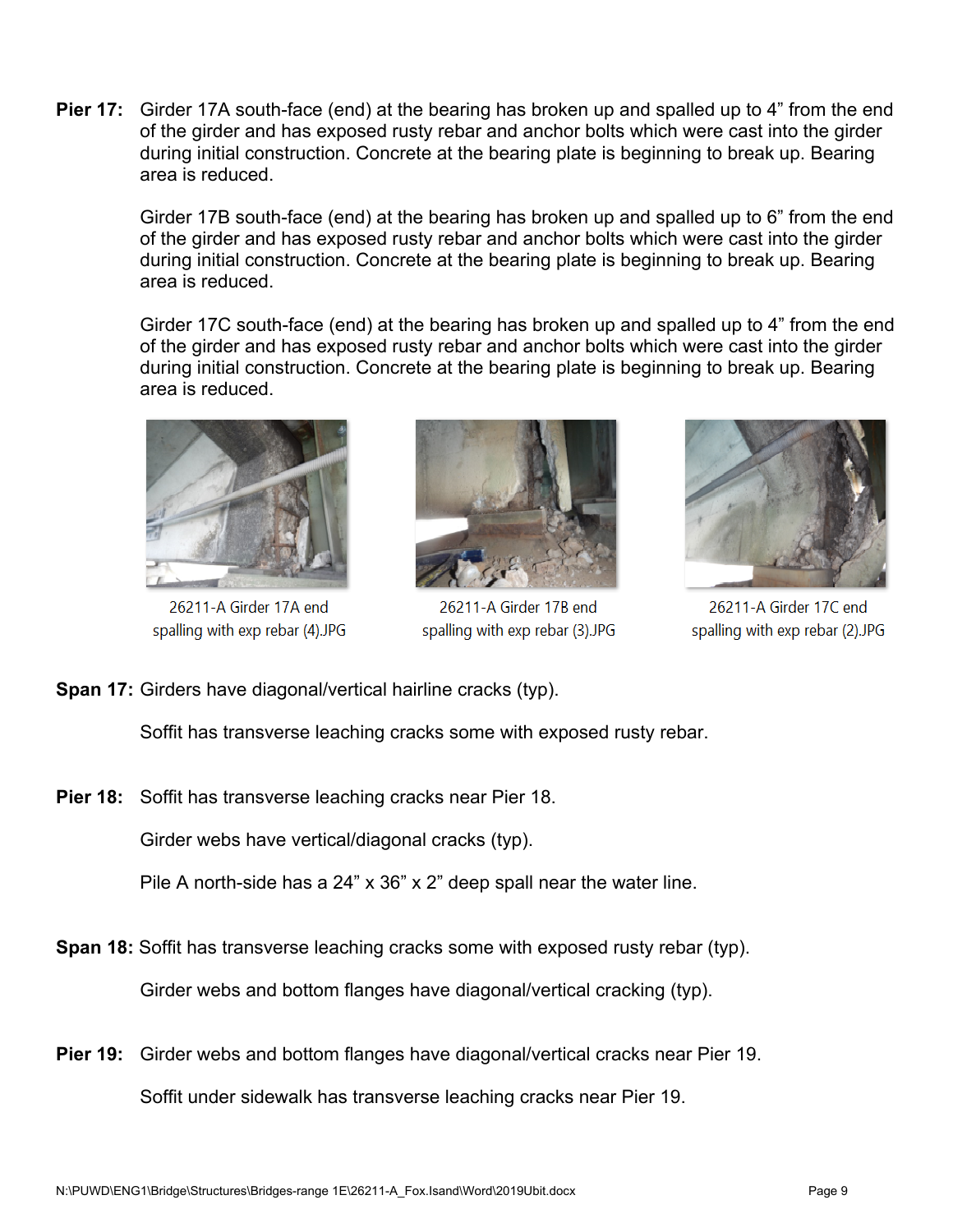**Pier 17:** Girder 17A south-face (end) at the bearing has broken up and spalled up to 4" from the end of the girder and has exposed rusty rebar and anchor bolts which were cast into the girder during initial construction. Concrete at the bearing plate is beginning to break up. Bearing area is reduced.

Girder 17B south-face (end) at the bearing has broken up and spalled up to 6" from the end of the girder and has exposed rusty rebar and anchor bolts which were cast into the girder during initial construction. Concrete at the bearing plate is beginning to break up. Bearing area is reduced.

Girder 17C south-face (end) at the bearing has broken up and spalled up to 4" from the end of the girder and has exposed rusty rebar and anchor bolts which were cast into the girder during initial construction. Concrete at the bearing plate is beginning to break up. Bearing area is reduced.



26211-A Girder 17A end spalling with exp rebar (4).JPG



26211-A Girder 17B end spalling with exp rebar (3).JPG



26211-A Girder 17C end spalling with exp rebar (2).JPG

**Span 17:** Girders have diagonal/vertical hairline cracks (typ).

Soffit has transverse leaching cracks some with exposed rusty rebar.

**Pier 18:** Soffit has transverse leaching cracks near Pier 18.

Girder webs have vertical/diagonal cracks (typ).

Pile A north-side has a 24" x 36" x 2" deep spall near the water line.

**Span 18:** Soffit has transverse leaching cracks some with exposed rusty rebar (typ).

Girder webs and bottom flanges have diagonal/vertical cracking (typ).

**Pier 19:** Girder webs and bottom flanges have diagonal/vertical cracks near Pier 19. Soffit under sidewalk has transverse leaching cracks near Pier 19.